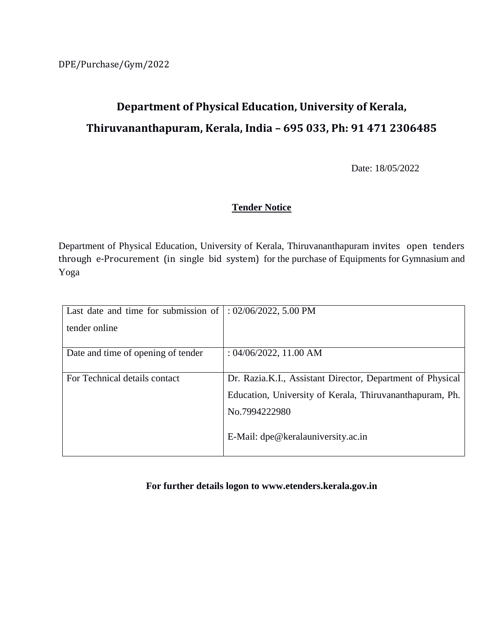# **Department of Physical Education, University of Kerala, Thiruvananthapuram, Kerala, India – 695 033, Ph: 91 471 2306485**

Date: 18/05/2022

### **Tender Notice**

Department of Physical Education, University of Kerala, Thiruvananthapuram invites open tenders through e-Procurement (in single bid system) for the purchase of Equipments for Gymnasium and Yoga

| Last date and time for submission of | $: 02/06/2022, 5.00$ PM                                    |
|--------------------------------------|------------------------------------------------------------|
| tender online                        |                                                            |
|                                      |                                                            |
| Date and time of opening of tender   | : $04/06/2022$ , 11.00 AM                                  |
|                                      |                                                            |
| For Technical details contact        | Dr. Razia.K.I., Assistant Director, Department of Physical |
|                                      | Education, University of Kerala, Thiruvananthapuram, Ph.   |
|                                      | No.7994222980                                              |
|                                      | E-Mail: dpe@keralauniversity.ac.in                         |

**For further details logon to [www.etenders.kerala.gov.in](http://www.etenders.kerala.gov.in/)**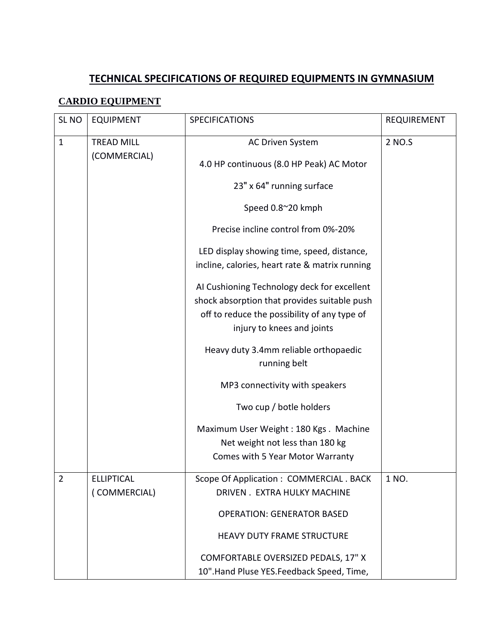# **TECHNICAL SPECIFICATIONS OF REQUIRED EQUIPMENTS IN GYMNASIUM**

## **CARDIO EQUIPMENT**

| SL <sub>NO</sub> | <b>EQUIPMENT</b>  | <b>SPECIFICATIONS</b>                                                                                                                                                     | <b>REQUIREMENT</b> |
|------------------|-------------------|---------------------------------------------------------------------------------------------------------------------------------------------------------------------------|--------------------|
| $\mathbf{1}$     | <b>TREAD MILL</b> | <b>AC Driven System</b>                                                                                                                                                   | 2 NO.S             |
|                  | (COMMERCIAL)      | 4.0 HP continuous (8.0 HP Peak) AC Motor                                                                                                                                  |                    |
|                  |                   | 23" x 64" running surface                                                                                                                                                 |                    |
|                  |                   | Speed 0.8~20 kmph                                                                                                                                                         |                    |
|                  |                   | Precise incline control from 0%-20%                                                                                                                                       |                    |
|                  |                   | LED display showing time, speed, distance,<br>incline, calories, heart rate & matrix running                                                                              |                    |
|                  |                   | Al Cushioning Technology deck for excellent<br>shock absorption that provides suitable push<br>off to reduce the possibility of any type of<br>injury to knees and joints |                    |
|                  |                   | Heavy duty 3.4mm reliable orthopaedic<br>running belt                                                                                                                     |                    |
|                  |                   | MP3 connectivity with speakers                                                                                                                                            |                    |
|                  |                   | Two cup / botle holders                                                                                                                                                   |                    |
|                  |                   | Maximum User Weight: 180 Kgs. Machine<br>Net weight not less than 180 kg<br>Comes with 5 Year Motor Warranty                                                              |                    |
| 2                | <b>ELLIPTICAL</b> | Scope Of Application: COMMERCIAL. BACK                                                                                                                                    | 1 NO.              |
|                  | (COMMERCIAL)      | DRIVEN . EXTRA HULKY MACHINE                                                                                                                                              |                    |
|                  |                   | <b>OPERATION: GENERATOR BASED</b>                                                                                                                                         |                    |
|                  |                   | <b>HEAVY DUTY FRAME STRUCTURE</b>                                                                                                                                         |                    |
|                  |                   | COMFORTABLE OVERSIZED PEDALS, 17" X                                                                                                                                       |                    |
|                  |                   | 10". Hand Pluse YES. Feedback Speed, Time,                                                                                                                                |                    |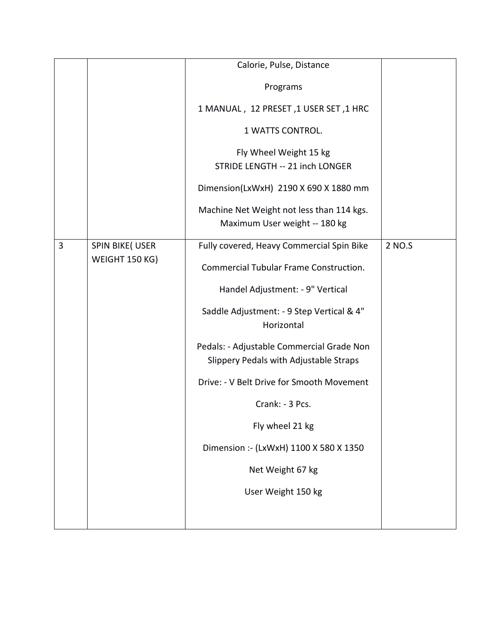|   |                                           | Calorie, Pulse, Distance                                                            |        |
|---|-------------------------------------------|-------------------------------------------------------------------------------------|--------|
|   |                                           | Programs                                                                            |        |
|   |                                           | 1 MANUAL, 12 PRESET, 1 USER SET, 1 HRC                                              |        |
|   |                                           | 1 WATTS CONTROL.                                                                    |        |
|   |                                           | Fly Wheel Weight 15 kg<br>STRIDE LENGTH -- 21 inch LONGER                           |        |
|   |                                           | Dimension(LxWxH) 2190 X 690 X 1880 mm                                               |        |
|   |                                           | Machine Net Weight not less than 114 kgs.<br>Maximum User weight -- 180 kg          |        |
| 3 | <b>SPIN BIKE(USER</b><br>WEIGHT 150 KG)   | Fully covered, Heavy Commercial Spin Bike                                           | 2 NO.S |
|   |                                           | <b>Commercial Tubular Frame Construction.</b>                                       |        |
|   |                                           | Handel Adjustment: - 9" Vertical                                                    |        |
|   |                                           | Saddle Adjustment: - 9 Step Vertical & 4"<br>Horizontal                             |        |
|   |                                           | Pedals: - Adjustable Commercial Grade Non<br>Slippery Pedals with Adjustable Straps |        |
|   | Drive: - V Belt Drive for Smooth Movement |                                                                                     |        |
|   |                                           | Crank: - 3 Pcs.                                                                     |        |
|   |                                           | Fly wheel 21 kg                                                                     |        |
|   |                                           | Dimension :- (LxWxH) 1100 X 580 X 1350                                              |        |
|   |                                           | Net Weight 67 kg                                                                    |        |
|   |                                           | User Weight 150 kg                                                                  |        |
|   |                                           |                                                                                     |        |
|   |                                           |                                                                                     |        |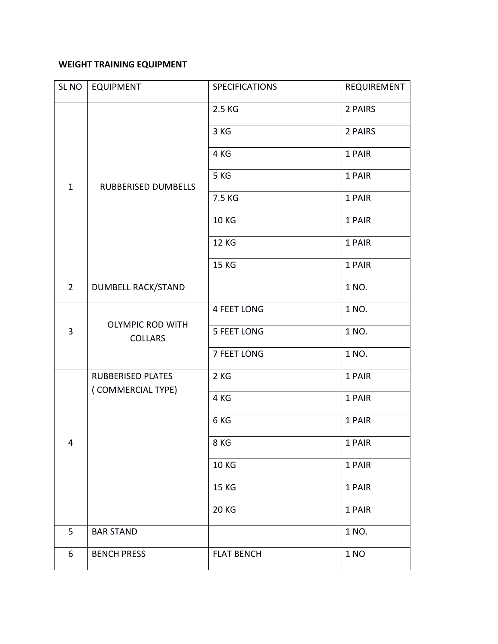## **WEIGHT TRAINING EQUIPMENT**

| SL NO          | <b>EQUIPMENT</b>                              | <b>SPECIFICATIONS</b> | REQUIREMENT |
|----------------|-----------------------------------------------|-----------------------|-------------|
| $\mathbf{1}$   | RUBBERISED DUMBELLS                           | 2.5 KG                | 2 PAIRS     |
|                |                                               | 3 KG                  | 2 PAIRS     |
|                |                                               | 4 KG                  | 1 PAIR      |
|                |                                               | 5 KG                  | 1 PAIR      |
|                |                                               | 7.5 KG                | 1 PAIR      |
|                |                                               | <b>10 KG</b>          | 1 PAIR      |
|                |                                               | <b>12 KG</b>          | 1 PAIR      |
|                |                                               | 15 KG                 | 1 PAIR      |
| $\overline{2}$ | <b>DUMBELL RACK/STAND</b>                     |                       | 1 NO.       |
| 3              | <b>OLYMPIC ROD WITH</b><br><b>COLLARS</b>     | <b>4 FEET LONG</b>    | 1 NO.       |
|                |                                               | <b>5 FEET LONG</b>    | 1 NO.       |
|                |                                               | 7 FEET LONG           | 1 NO.       |
| 4              | <b>RUBBERISED PLATES</b><br>(COMMERCIAL TYPE) | 2KG                   | 1 PAIR      |
|                |                                               | 4 KG                  | 1 PAIR      |
|                |                                               | 6 KG                  | 1 PAIR      |
|                |                                               | 8 KG                  | 1 PAIR      |
|                |                                               | <b>10 KG</b>          | 1 PAIR      |
|                |                                               | 15 KG                 | 1 PAIR      |
|                |                                               | <b>20 KG</b>          | 1 PAIR      |
| 5              | <b>BAR STAND</b>                              |                       | 1 NO.       |
| 6              | <b>BENCH PRESS</b>                            | <b>FLAT BENCH</b>     | 1 NO        |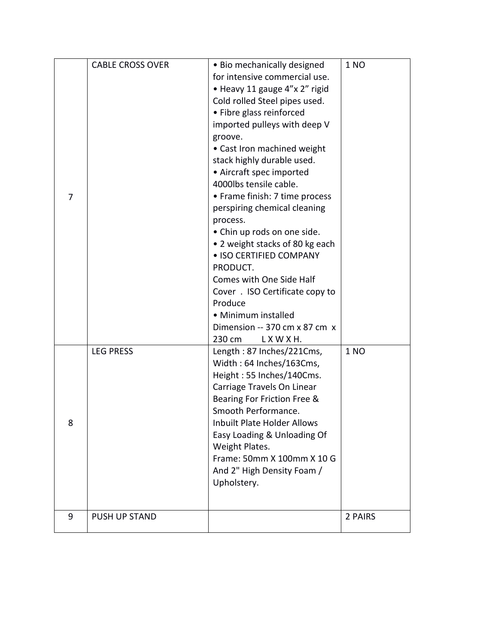| 7 | <b>CABLE CROSS OVER</b> | • Bio mechanically designed<br>for intensive commercial use.<br>· Heavy 11 gauge 4"x 2" rigid<br>Cold rolled Steel pipes used.<br>• Fibre glass reinforced<br>imported pulleys with deep V<br>groove.<br>• Cast Iron machined weight<br>stack highly durable used.<br>• Aircraft spec imported<br>4000lbs tensile cable.<br>• Frame finish: 7 time process<br>perspiring chemical cleaning<br>process.<br>• Chin up rods on one side.<br>• 2 weight stacks of 80 kg each<br>• ISO CERTIFIED COMPANY<br>PRODUCT.<br>Comes with One Side Half<br>Cover . ISO Certificate copy to<br>Produce<br>• Minimum installed<br>Dimension -- 370 cm x 87 cm x<br>230 cm<br>LXWXH. | 1 NO    |
|---|-------------------------|-----------------------------------------------------------------------------------------------------------------------------------------------------------------------------------------------------------------------------------------------------------------------------------------------------------------------------------------------------------------------------------------------------------------------------------------------------------------------------------------------------------------------------------------------------------------------------------------------------------------------------------------------------------------------|---------|
| 8 | <b>LEG PRESS</b>        | Length: 87 Inches/221Cms,<br>Width: 64 Inches/163Cms,<br>Height: 55 Inches/140Cms.<br>Carriage Travels On Linear<br>Bearing For Friction Free &<br>Smooth Performance.<br><b>Inbuilt Plate Holder Allows</b><br>Easy Loading & Unloading Of<br>Weight Plates.<br>Frame: 50mm X 100mm X 10 G<br>And 2" High Density Foam /<br>Upholstery.                                                                                                                                                                                                                                                                                                                              | 1 NO    |
| 9 | <b>PUSH UP STAND</b>    |                                                                                                                                                                                                                                                                                                                                                                                                                                                                                                                                                                                                                                                                       | 2 PAIRS |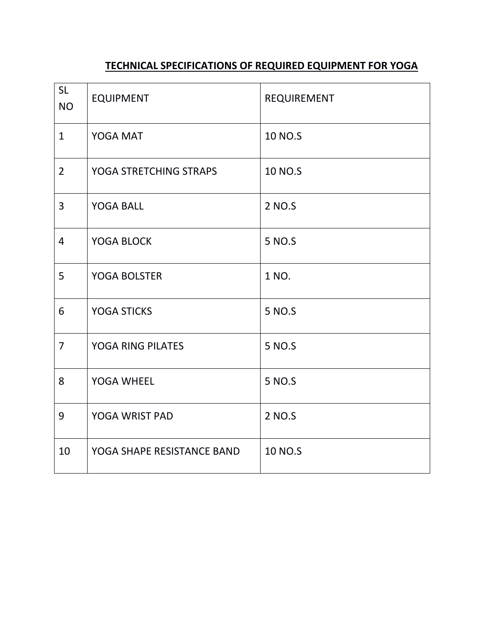# **TECHNICAL SPECIFICATIONS OF REQUIRED EQUIPMENT FOR YOGA**

| <b>SL</b><br><b>NO</b> | <b>EQUIPMENT</b>           | REQUIREMENT |
|------------------------|----------------------------|-------------|
| $\mathbf{1}$           | YOGA MAT                   | 10 NO.S     |
| $\overline{2}$         | YOGA STRETCHING STRAPS     | 10 NO.S     |
| 3                      | <b>YOGA BALL</b>           | 2 NO.S      |
| $\overline{4}$         | YOGA BLOCK                 | 5 NO.S      |
| 5                      | <b>YOGA BOLSTER</b>        | 1 NO.       |
| 6                      | <b>YOGA STICKS</b>         | 5 NO.S      |
| $\overline{7}$         | <b>YOGA RING PILATES</b>   | 5 NO.S      |
| 8                      | YOGA WHEEL                 | 5 NO.S      |
| 9                      | YOGA WRIST PAD             | 2 NO.S      |
| 10                     | YOGA SHAPE RESISTANCE BAND | 10 NO.S     |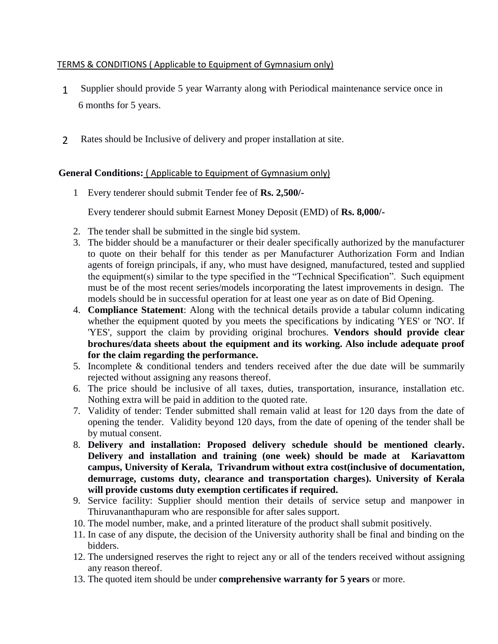#### TERMS & CONDITIONS ( Applicable to Equipment of Gymnasium only)

- 1**1.** Supplier should provide 5 year Warranty along with Periodical maintenance service once in 6 months for 5 years.
- 2 **3.** Rates should be Inclusive of delivery and proper installation at site.

#### **General Conditions:** ( Applicable to Equipment of Gymnasium only)

1 Every tenderer should submit Tender fee of **Rs. 2,500/-**

Every tenderer should submit Earnest Money Deposit (EMD) of **Rs. 8,000/-**

- 2. The tender shall be submitted in the single bid system.
- 3. The bidder should be a manufacturer or their dealer specifically authorized by the manufacturer to quote on their behalf for this tender as per Manufacturer Authorization Form and Indian agents of foreign principals, if any, who must have designed, manufactured, tested and supplied the equipment(s) similar to the type specified in the "Technical Specification". Such equipment must be of the most recent series/models incorporating the latest improvements in design. The models should be in successful operation for at least one year as on date of Bid Opening.
- 4. **Compliance Statement**: Along with the technical details provide a tabular column indicating whether the equipment quoted by you meets the specifications by indicating 'YES' or 'NO'. If 'YES', support the claim by providing original brochures. **Vendors should provide clear brochures/data sheets about the equipment and its working. Also include adequate proof for the claim regarding the performance.**
- 5. Incomplete & conditional tenders and tenders received after the due date will be summarily rejected without assigning any reasons thereof.
- 6. The price should be inclusive of all taxes, duties, transportation, insurance, installation etc. Nothing extra will be paid in addition to the quoted rate.
- 7. Validity of tender: Tender submitted shall remain valid at least for 120 days from the date of opening the tender. Validity beyond 120 days, from the date of opening of the tender shall be by mutual consent.
- 8. **Delivery and installation: Proposed delivery schedule should be mentioned clearly. Delivery and installation and training (one week) should be made at Kariavattom campus, University of Kerala, Trivandrum without extra cost(inclusive of documentation, demurrage, customs duty, clearance and transportation charges). University of Kerala will provide customs duty exemption certificates if required.**
- 9. Service facility: Supplier should mention their details of service setup and manpower in Thiruvananthapuram who are responsible for after sales support.
- 10. The model number, make, and a printed literature of the product shall submit positively.
- 11. In case of any dispute, the decision of the University authority shall be final and binding on the bidders.
- 12. The undersigned reserves the right to reject any or all of the tenders received without assigning any reason thereof.
- 13. The quoted item should be under **comprehensive warranty for 5 years** or more.